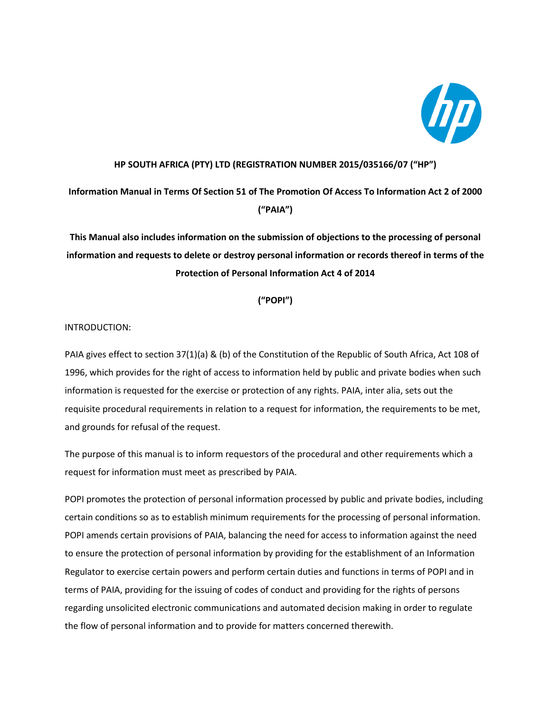

## **HP SOUTH AFRICA (PTY) LTD (REGISTRATION NUMBER 2015/035166/07 ("HP")**

**Information Manual in Terms Of Section 51 of The Promotion Of Access To Information Act 2 of 2000 ("PAIA")**

**This Manual also includes information on the submission of objections to the processing of personal information and requests to delete or destroy personal information or records thereof in terms of the Protection of Personal Information Act 4 of 2014** 

**("POPI")**

#### INTRODUCTION:

PAIA gives effect to section 37(1)(a) & (b) of the Constitution of the Republic of South Africa, Act 108 of 1996, which provides for the right of access to information held by public and private bodies when such information is requested for the exercise or protection of any rights. PAIA, inter alia, sets out the requisite procedural requirements in relation to a request for information, the requirements to be met, and grounds for refusal of the request.

The purpose of this manual is to inform requestors of the procedural and other requirements which a request for information must meet as prescribed by PAIA.

POPI promotes the protection of personal information processed by public and private bodies, including certain conditions so as to establish minimum requirements for the processing of personal information. POPI amends certain provisions of PAIA, balancing the need for access to information against the need to ensure the protection of personal information by providing for the establishment of an Information Regulator to exercise certain powers and perform certain duties and functions in terms of POPI and in terms of PAIA, providing for the issuing of codes of conduct and providing for the rights of persons regarding unsolicited electronic communications and automated decision making in order to regulate the flow of personal information and to provide for matters concerned therewith.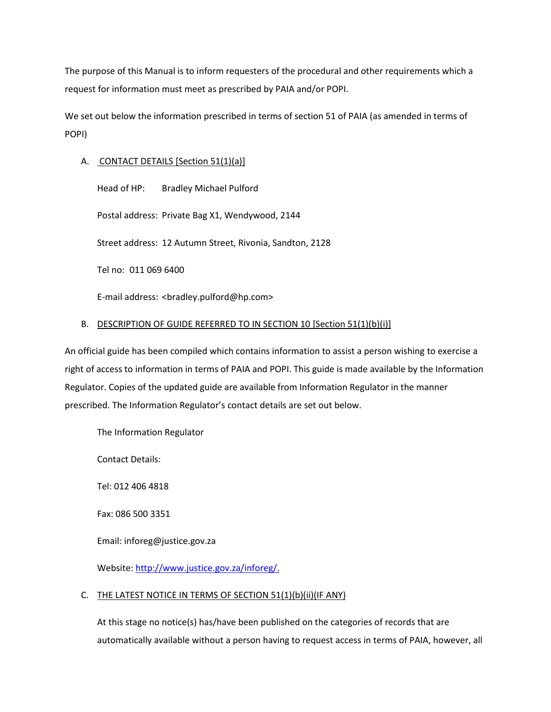The purpose of this Manual is to inform requesters of the procedural and other requirements which a request for information must meet as prescribed by PAIA and/or POPI.

We set out below the information prescribed in terms of section 51 of PAIA (as amended in terms of POPI)

# A. CONTACT DETAILS [Section 51(1)(a)]

Head of HP: Bradley Michael Pulford

Postal address: Private Bag X1, Wendywood, 2144

Street address: 12 Autumn Street, Rivonia, Sandton, 2128

Tel no: 011 069 6400

E-mail address: <bradley.pulford@hp.com>

# B. DESCRIPTION OF GUIDE REFERRED TO IN SECTION 10 [Section 51(1)(b)(i)]

An official guide has been compiled which contains information to assist a person wishing to exercise a right of access to information in terms of PAIA and POPI. This guide is made available by the Information Regulator. Copies of the updated guide are available from Information Regulator in the manner prescribed. The Information Regulator's contact details are set out below.

The Information Regulator

Contact Details:

Tel: 012 406 4818

Fax: 086 500 3351

Email: [inforeg@justice.gov.za](mailto:inforeg@justice.gov.za)

Website[: http://www.justice.gov.za/inforeg/.](http://www.justice.gov.za/inforeg/)

## C. THE LATEST NOTICE IN TERMS OF SECTION 51(1)(b)(ii)(IF ANY)

At this stage no notice(s) has/have been published on the categories of records that are automatically available without a person having to request access in terms of PAIA, however, all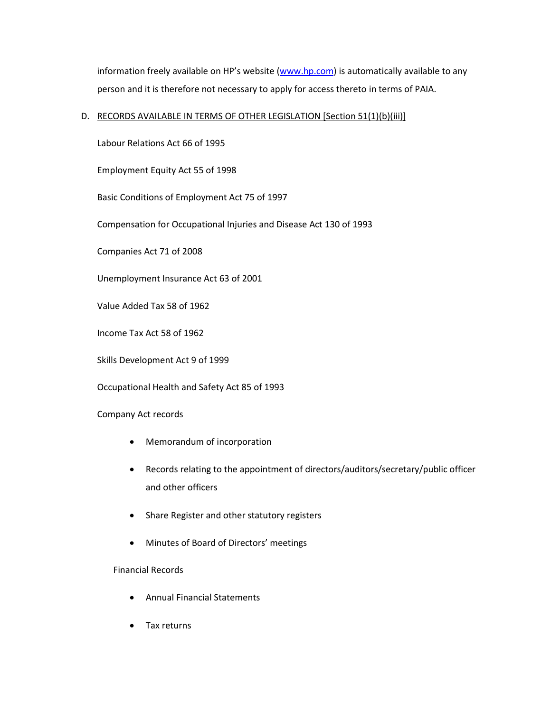information freely available on HP's website ([www.hp.com\)](http://www.hp.com/) is automatically available to any person and it is therefore not necessary to apply for access thereto in terms of PAIA.

## D. RECORDS AVAILABLE IN TERMS OF OTHER LEGISLATION [Section 51(1)(b)(iii)]

Labour Relations Act 66 of 1995

Employment Equity Act 55 of 1998

Basic Conditions of Employment Act 75 of 1997

Compensation for Occupational Injuries and Disease Act 130 of 1993

Companies Act 71 of 2008

Unemployment Insurance Act 63 of 2001

Value Added Tax 58 of 1962

Income Tax Act 58 of 1962

Skills Development Act 9 of 1999

Occupational Health and Safety Act 85 of 1993

Company Act records

- Memorandum of incorporation
- Records relating to the appointment of directors/auditors/secretary/public officer and other officers
- Share Register and other statutory registers
- Minutes of Board of Directors' meetings

#### Financial Records

- Annual Financial Statements
- Tax returns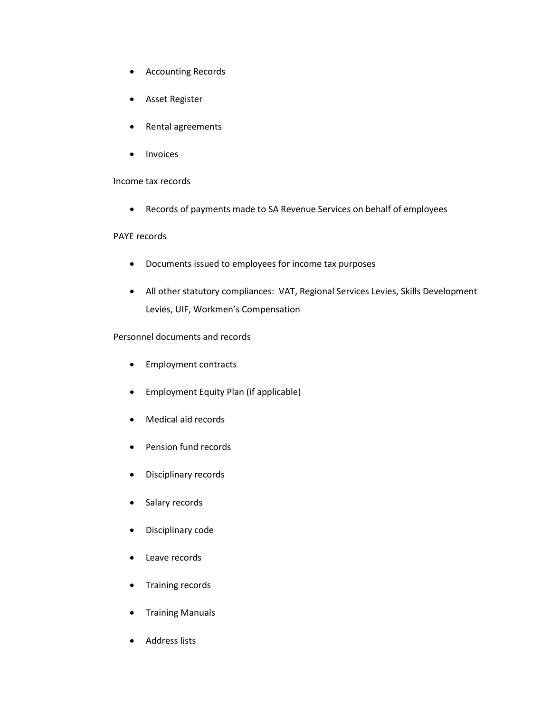- Accounting Records
- Asset Register
- Rental agreements
- **Invoices**

#### Income tax records

• Records of payments made to SA Revenue Services on behalf of employees

#### PAYE records

- Documents issued to employees for income tax purposes
- All other statutory compliances: VAT, Regional Services Levies, Skills Development Levies, UIF, Workmen's Compensation

# Personnel documents and records

- Employment contracts
- Employment Equity Plan (if applicable)
- Medical aid records
- Pension fund records
- Disciplinary records
- Salary records
- Disciplinary code
- Leave records
- Training records
- Training Manuals
- Address lists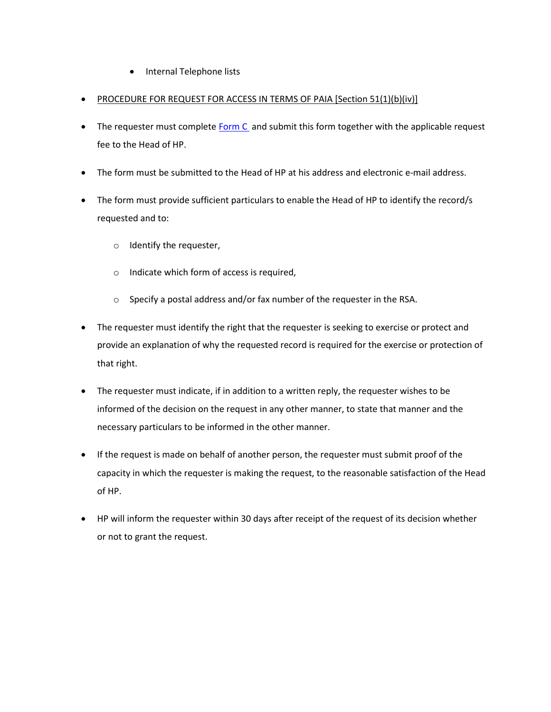- Internal Telephone lists
- PROCEDURE FOR REQUEST FOR ACCESS IN TERMS OF PAIA [Section 51(1)(b)(iv)]
- The requester must complete [Form C](https://www.justice.gov.za/inforeg/docs.html) and submit this form together with the applicable request fee to the Head of HP.
- The form must be submitted to the Head of HP at his address and electronic e-mail address.
- The form must provide sufficient particulars to enable the Head of HP to identify the record/s requested and to:
	- o Identify the requester,
	- o Indicate which form of access is required,
	- o Specify a postal address and/or fax number of the requester in the RSA.
- The requester must identify the right that the requester is seeking to exercise or protect and provide an explanation of why the requested record is required for the exercise or protection of that right.
- The requester must indicate, if in addition to a written reply, the requester wishes to be informed of the decision on the request in any other manner, to state that manner and the necessary particulars to be informed in the other manner.
- If the request is made on behalf of another person, the requester must submit proof of the capacity in which the requester is making the request, to the reasonable satisfaction of the Head of HP.
- HP will inform the requester within 30 days after receipt of the request of its decision whether or not to grant the request.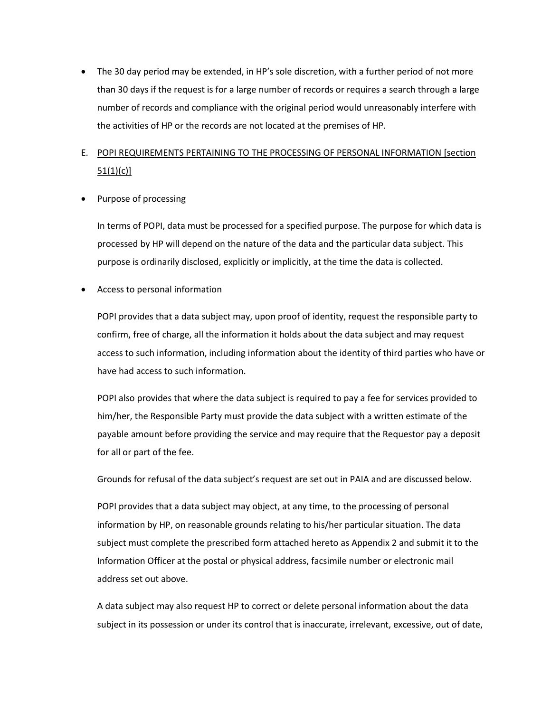• The 30 day period may be extended, in HP's sole discretion, with a further period of not more than 30 days if the request is for a large number of records or requires a search through a large number of records and compliance with the original period would unreasonably interfere with the activities of HP or the records are not located at the premises of HP.

# E. POPI REQUIREMENTS PERTAINING TO THE PROCESSING OF PERSONAL INFORMATION [section  $51(1)(c)$ ]

• Purpose of processing

In terms of POPI, data must be processed for a specified purpose. The purpose for which data is processed by HP will depend on the nature of the data and the particular data subject. This purpose is ordinarily disclosed, explicitly or implicitly, at the time the data is collected.

• Access to personal information

POPI provides that a data subject may, upon proof of identity, request the responsible party to confirm, free of charge, all the information it holds about the data subject and may request access to such information, including information about the identity of third parties who have or have had access to such information.

POPI also provides that where the data subject is required to pay a fee for services provided to him/her, the Responsible Party must provide the data subject with a written estimate of the payable amount before providing the service and may require that the Requestor pay a deposit for all or part of the fee.

Grounds for refusal of the data subject's request are set out in PAIA and are discussed below.

POPI provides that a data subject may object, at any time, to the processing of personal information by HP, on reasonable grounds relating to his/her particular situation. The data subject must complete the prescribed form attached hereto as Appendix 2 and submit it to the Information Officer at the postal or physical address, facsimile number or electronic mail address set out above.

A data subject may also request HP to correct or delete personal information about the data subject in its possession or under its control that is inaccurate, irrelevant, excessive, out of date,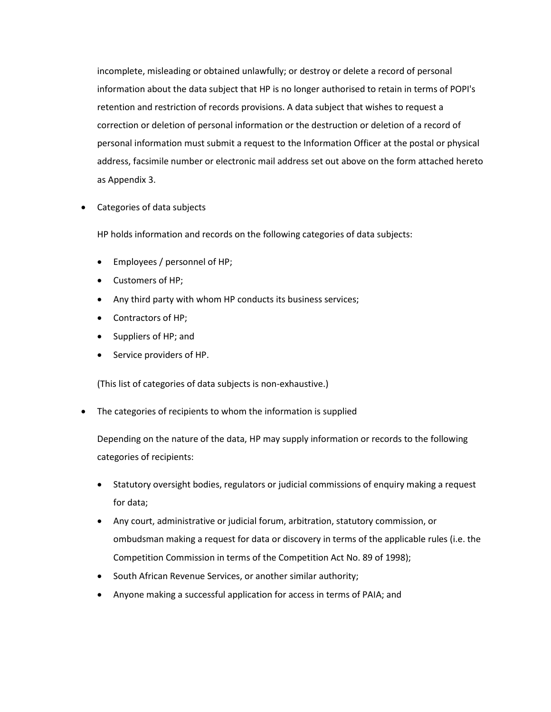incomplete, misleading or obtained unlawfully; or destroy or delete a record of personal information about the data subject that HP is no longer authorised to retain in terms of POPI's retention and restriction of records provisions. A data subject that wishes to request a correction or deletion of personal information or the destruction or deletion of a record of personal information must submit a request to the Information Officer at the postal or physical address, facsimile number or electronic mail address set out above on the form attached hereto as Appendix 3.

• Categories of data subjects

HP holds information and records on the following categories of data subjects:

- Employees / personnel of HP;
- Customers of HP;
- Any third party with whom HP conducts its business services;
- Contractors of HP;
- Suppliers of HP; and
- Service providers of HP.

(This list of categories of data subjects is non-exhaustive.)

The categories of recipients to whom the information is supplied

Depending on the nature of the data, HP may supply information or records to the following categories of recipients:

- Statutory oversight bodies, regulators or judicial commissions of enquiry making a request for data;
- Any court, administrative or judicial forum, arbitration, statutory commission, or ombudsman making a request for data or discovery in terms of the applicable rules (i.e. the Competition Commission in terms of the Competition Act No. 89 of 1998);
- South African Revenue Services, or another similar authority;
- Anyone making a successful application for access in terms of PAIA; and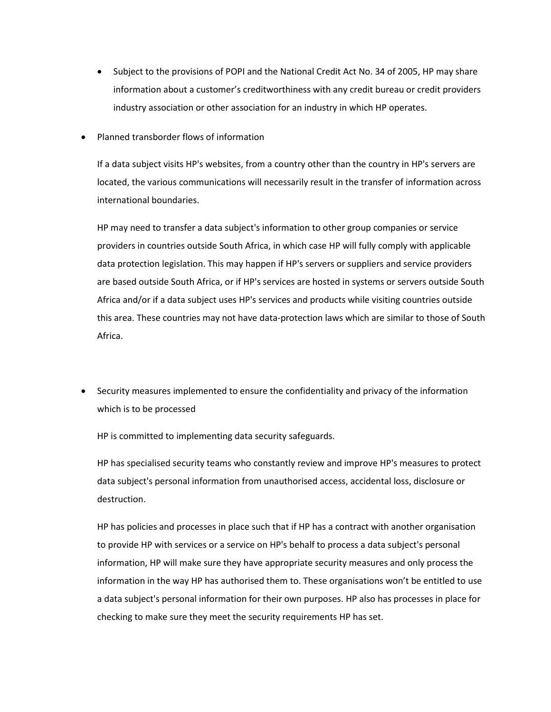- Subject to the provisions of POPI and the National Credit Act No. 34 of 2005, HP may share information about a customer's creditworthiness with any credit bureau or credit providers industry association or other association for an industry in which HP operates.
- Planned transborder flows of information

If a data subject visits HP's websites, from a country other than the country in HP's servers are located, the various communications will necessarily result in the transfer of information across international boundaries.

HP may need to transfer a data subject's information to other group companies or service providers in countries outside South Africa, in which case HP will fully comply with applicable data protection legislation. This may happen if HP's servers or suppliers and service providers are based outside South Africa, or if HP's services are hosted in systems or servers outside South Africa and/or if a data subject uses HP's services and products while visiting countries outside this area. These countries may not have data-protection laws which are similar to those of South Africa.

• Security measures implemented to ensure the confidentiality and privacy of the information which is to be processed

HP is committed to implementing data security safeguards.

HP has specialised security teams who constantly review and improve HP's measures to protect data subject's personal information from unauthorised access, accidental loss, disclosure or destruction.

HP has policies and processes in place such that if HP has a contract with another organisation to provide HP with services or a service on HP's behalf to process a data subject's personal information, HP will make sure they have appropriate security measures and only process the information in the way HP has authorised them to. These organisations won't be entitled to use a data subject's personal information for their own purposes. HP also has processes in place for checking to make sure they meet the security requirements HP has set.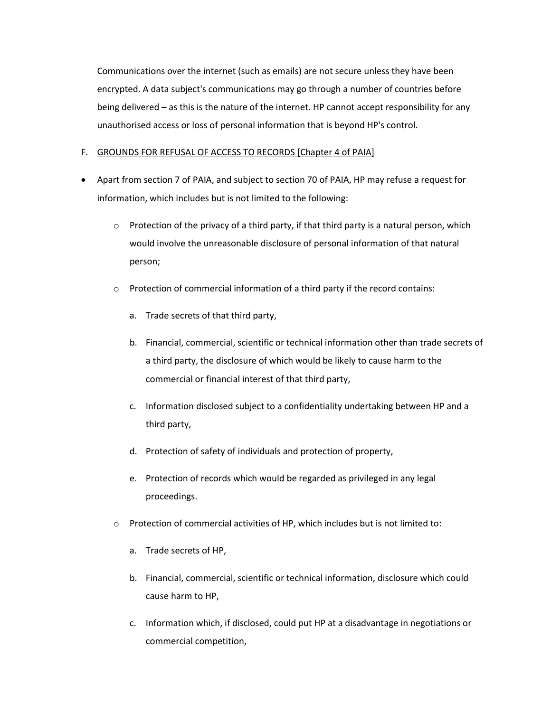Communications over the internet (such as emails) are not secure unless they have been encrypted. A data subject's communications may go through a number of countries before being delivered – as this is the nature of the internet. HP cannot accept responsibility for any unauthorised access or loss of personal information that is beyond HP's control.

## F. GROUNDS FOR REFUSAL OF ACCESS TO RECORDS [Chapter 4 of PAIA]

- Apart from section 7 of PAIA, and subject to section 70 of PAIA, HP may refuse a request for information, which includes but is not limited to the following:
	- $\circ$  Protection of the privacy of a third party, if that third party is a natural person, which would involve the unreasonable disclosure of personal information of that natural person;
	- $\circ$  Protection of commercial information of a third party if the record contains:
		- a. Trade secrets of that third party,
		- b. Financial, commercial, scientific or technical information other than trade secrets of a third party, the disclosure of which would be likely to cause harm to the commercial or financial interest of that third party,
		- c. Information disclosed subject to a confidentiality undertaking between HP and a third party,
		- d. Protection of safety of individuals and protection of property,
		- e. Protection of records which would be regarded as privileged in any legal proceedings.
	- o Protection of commercial activities of HP, which includes but is not limited to:
		- a. Trade secrets of HP,
		- b. Financial, commercial, scientific or technical information, disclosure which could cause harm to HP,
		- c. Information which, if disclosed, could put HP at a disadvantage in negotiations or commercial competition,